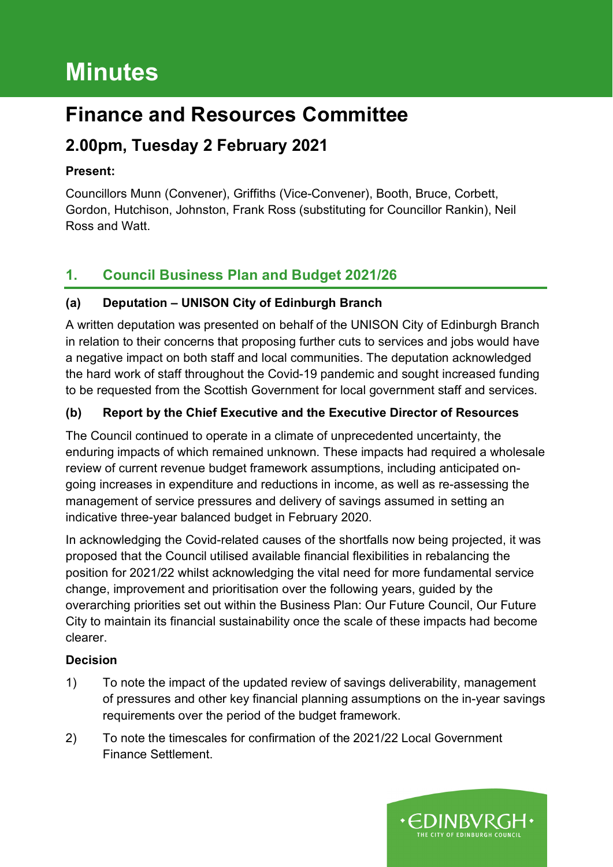# **Minutes**

## **Finance and Resources Committee**

## **2.00pm, Tuesday 2 February 2021**

## **Present:**

Councillors Munn (Convener), Griffiths (Vice-Convener), Booth, Bruce, Corbett, Gordon, Hutchison, Johnston, Frank Ross (substituting for Councillor Rankin), Neil Ross and Watt.

## **1. Council Business Plan and Budget 2021/26**

## **(a) Deputation – UNISON City of Edinburgh Branch**

A written deputation was presented on behalf of the UNISON City of Edinburgh Branch in relation to their concerns that proposing further cuts to services and jobs would have a negative impact on both staff and local communities. The deputation acknowledged the hard work of staff throughout the Covid-19 pandemic and sought increased funding to be requested from the Scottish Government for local government staff and services.

## **(b) Report by the Chief Executive and the Executive Director of Resources**

The Council continued to operate in a climate of unprecedented uncertainty, the enduring impacts of which remained unknown. These impacts had required a wholesale review of current revenue budget framework assumptions, including anticipated ongoing increases in expenditure and reductions in income, as well as re-assessing the management of service pressures and delivery of savings assumed in setting an indicative three-year balanced budget in February 2020.

In acknowledging the Covid-related causes of the shortfalls now being projected, it was proposed that the Council utilised available financial flexibilities in rebalancing the position for 2021/22 whilst acknowledging the vital need for more fundamental service change, improvement and prioritisation over the following years, guided by the overarching priorities set out within the Business Plan: Our Future Council, Our Future City to maintain its financial sustainability once the scale of these impacts had become clearer.

### **Decision**

- 1) To note the impact of the updated review of savings deliverability, management of pressures and other key financial planning assumptions on the in-year savings requirements over the period of the budget framework.
- 2) To note the timescales for confirmation of the 2021/22 Local Government Finance Settlement.

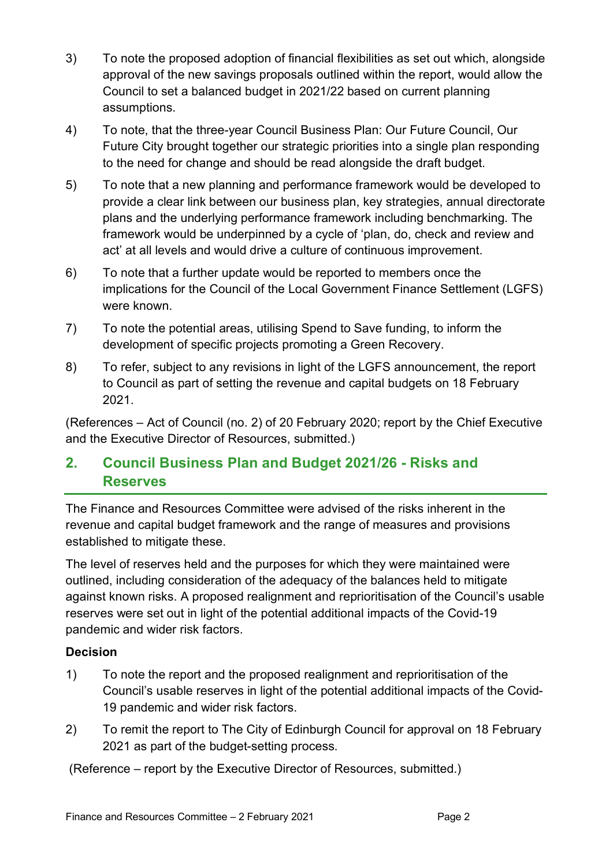- 3) To note the proposed adoption of financial flexibilities as set out which, alongside approval of the new savings proposals outlined within the report, would allow the Council to set a balanced budget in 2021/22 based on current planning assumptions.
- 4) To note, that the three-year Council Business Plan: Our Future Council, Our Future City brought together our strategic priorities into a single plan responding to the need for change and should be read alongside the draft budget.
- 5) To note that a new planning and performance framework would be developed to provide a clear link between our business plan, key strategies, annual directorate plans and the underlying performance framework including benchmarking. The framework would be underpinned by a cycle of 'plan, do, check and review and act' at all levels and would drive a culture of continuous improvement.
- 6) To note that a further update would be reported to members once the implications for the Council of the Local Government Finance Settlement (LGFS) were known.
- 7) To note the potential areas, utilising Spend to Save funding, to inform the development of specific projects promoting a Green Recovery.
- 8) To refer, subject to any revisions in light of the LGFS announcement, the report to Council as part of setting the revenue and capital budgets on 18 February 2021.

(References – Act of Council (no. 2) of 20 February 2020; report by the Chief Executive and the Executive Director of Resources, submitted.)

## **2. Council Business Plan and Budget 2021/26 - Risks and Reserves**

The Finance and Resources Committee were advised of the risks inherent in the revenue and capital budget framework and the range of measures and provisions established to mitigate these.

The level of reserves held and the purposes for which they were maintained were outlined, including consideration of the adequacy of the balances held to mitigate against known risks. A proposed realignment and reprioritisation of the Council's usable reserves were set out in light of the potential additional impacts of the Covid-19 pandemic and wider risk factors.

#### **Decision**

- 1) To note the report and the proposed realignment and reprioritisation of the Council's usable reserves in light of the potential additional impacts of the Covid-19 pandemic and wider risk factors.
- 2) To remit the report to The City of Edinburgh Council for approval on 18 February 2021 as part of the budget-setting process.

(Reference – report by the Executive Director of Resources, submitted.)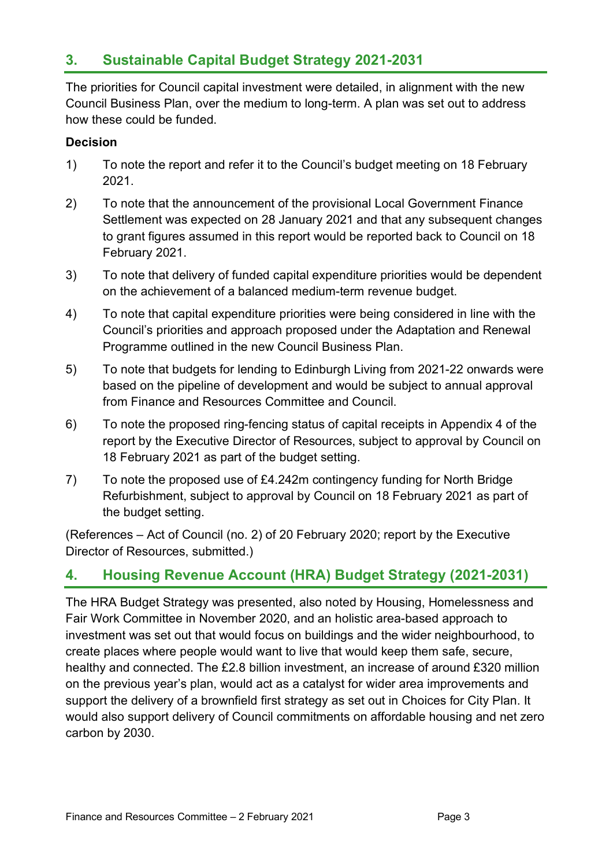## **3. Sustainable Capital Budget Strategy 2021-2031**

The priorities for Council capital investment were detailed, in alignment with the new Council Business Plan, over the medium to long-term. A plan was set out to address how these could be funded.

#### **Decision**

- 1) To note the report and refer it to the Council's budget meeting on 18 February 2021.
- 2) To note that the announcement of the provisional Local Government Finance Settlement was expected on 28 January 2021 and that any subsequent changes to grant figures assumed in this report would be reported back to Council on 18 February 2021.
- 3) To note that delivery of funded capital expenditure priorities would be dependent on the achievement of a balanced medium-term revenue budget.
- 4) To note that capital expenditure priorities were being considered in line with the Council's priorities and approach proposed under the Adaptation and Renewal Programme outlined in the new Council Business Plan.
- 5) To note that budgets for lending to Edinburgh Living from 2021-22 onwards were based on the pipeline of development and would be subject to annual approval from Finance and Resources Committee and Council.
- 6) To note the proposed ring-fencing status of capital receipts in Appendix 4 of the report by the Executive Director of Resources, subject to approval by Council on 18 February 2021 as part of the budget setting.
- 7) To note the proposed use of £4.242m contingency funding for North Bridge Refurbishment, subject to approval by Council on 18 February 2021 as part of the budget setting.

(References – Act of Council (no. 2) of 20 February 2020; report by the Executive Director of Resources, submitted.)

## **4. Housing Revenue Account (HRA) Budget Strategy (2021-2031)**

The HRA Budget Strategy was presented, also noted by Housing, Homelessness and Fair Work Committee in November 2020, and an holistic area-based approach to investment was set out that would focus on buildings and the wider neighbourhood, to create places where people would want to live that would keep them safe, secure, healthy and connected. The £2.8 billion investment, an increase of around £320 million on the previous year's plan, would act as a catalyst for wider area improvements and support the delivery of a brownfield first strategy as set out in Choices for City Plan. It would also support delivery of Council commitments on affordable housing and net zero carbon by 2030.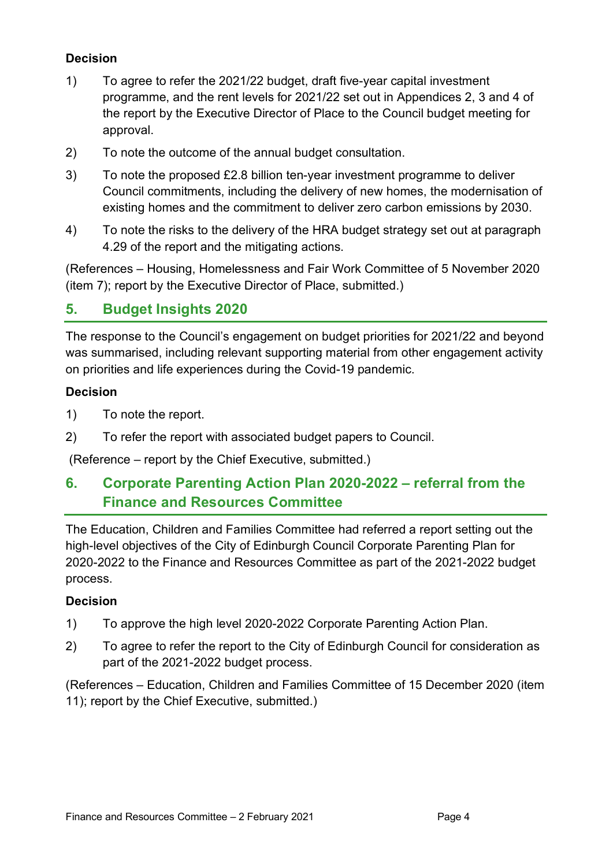### **Decision**

- 1) To agree to refer the 2021/22 budget, draft five-year capital investment programme, and the rent levels for 2021/22 set out in Appendices 2, 3 and 4 of the report by the Executive Director of Place to the Council budget meeting for approval.
- 2) To note the outcome of the annual budget consultation.
- 3) To note the proposed £2.8 billion ten-year investment programme to deliver Council commitments, including the delivery of new homes, the modernisation of existing homes and the commitment to deliver zero carbon emissions by 2030.
- 4) To note the risks to the delivery of the HRA budget strategy set out at paragraph 4.29 of the report and the mitigating actions.

(References – Housing, Homelessness and Fair Work Committee of 5 November 2020 (item 7); report by the Executive Director of Place, submitted.)

## **5. Budget Insights 2020**

The response to the Council's engagement on budget priorities for 2021/22 and beyond was summarised, including relevant supporting material from other engagement activity on priorities and life experiences during the Covid-19 pandemic.

#### **Decision**

- 1) To note the report.
- 2) To refer the report with associated budget papers to Council.

(Reference – report by the Chief Executive, submitted.)

## **6. Corporate Parenting Action Plan 2020-2022 – referral from the Finance and Resources Committee**

The Education, Children and Families Committee had referred a report setting out the high-level objectives of the City of Edinburgh Council Corporate Parenting Plan for 2020-2022 to the Finance and Resources Committee as part of the 2021-2022 budget process.

#### **Decision**

- 1) To approve the high level 2020-2022 Corporate Parenting Action Plan.
- 2) To agree to refer the report to the City of Edinburgh Council for consideration as part of the 2021-2022 budget process.

(References – Education, Children and Families Committee of 15 December 2020 (item 11); report by the Chief Executive, submitted.)